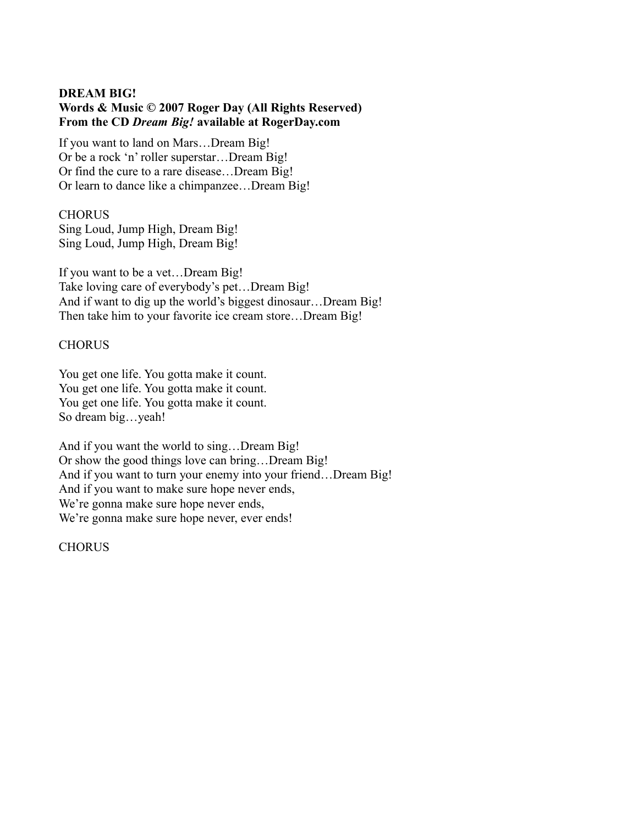# **DREAM BIG! Words & Music © 2007 Roger Day (All Rights Reserved) From the CD** *Dream Big!* **available at RogerDay.com**

If you want to land on Mars…Dream Big! Or be a rock 'n' roller superstar…Dream Big! Or find the cure to a rare disease…Dream Big! Or learn to dance like a chimpanzee…Dream Big!

# **CHORUS**

Sing Loud, Jump High, Dream Big! Sing Loud, Jump High, Dream Big!

If you want to be a vet…Dream Big! Take loving care of everybody's pet…Dream Big! And if want to dig up the world's biggest dinosaur…Dream Big! Then take him to your favorite ice cream store…Dream Big!

#### **CHORUS**

You get one life. You gotta make it count. You get one life. You gotta make it count. You get one life. You gotta make it count. So dream big…yeah!

And if you want the world to sing…Dream Big! Or show the good things love can bring…Dream Big! And if you want to turn your enemy into your friend…Dream Big! And if you want to make sure hope never ends, We're gonna make sure hope never ends, We're gonna make sure hope never, ever ends!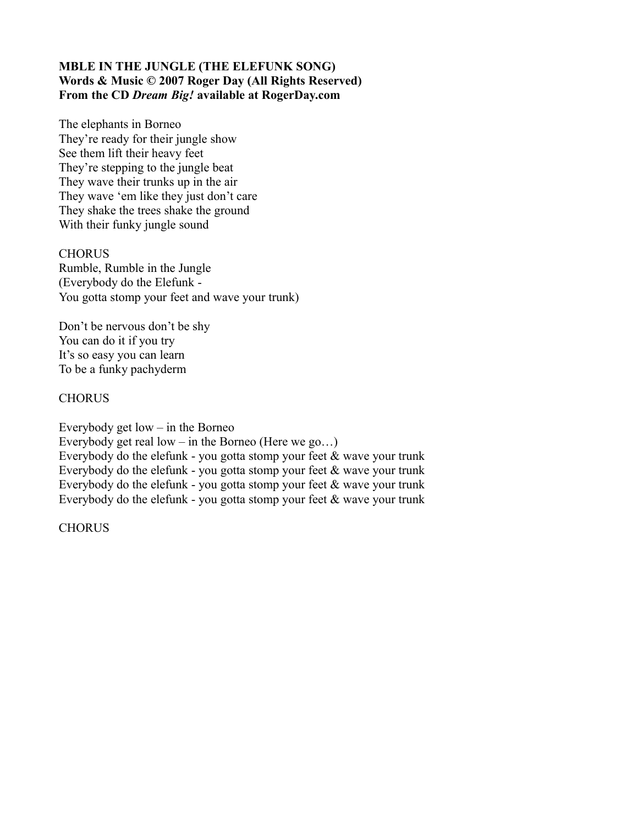## **MBLE IN THE JUNGLE (THE ELEFUNK SONG) Words & Music © 2007 Roger Day (All Rights Reserved) From the CD** *Dream Big!* **available at RogerDay.com**

The elephants in Borneo They're ready for their jungle show See them lift their heavy feet They're stepping to the jungle beat They wave their trunks up in the air They wave 'em like they just don't care They shake the trees shake the ground With their funky jungle sound

**CHORUS** Rumble, Rumble in the Jungle (Everybody do the Elefunk - You gotta stomp your feet and wave your trunk)

Don't be nervous don't be shy You can do it if you try It's so easy you can learn To be a funky pachyderm

#### **CHORUS**

Everybody get  $low - in$  the Borneo

Everybody get real low – in the Borneo (Here we go...)

Everybody do the elefunk - you gotta stomp your feet & wave your trunk Everybody do the elefunk - you gotta stomp your feet & wave your trunk Everybody do the elefunk - you gotta stomp your feet & wave your trunk Everybody do the elefunk - you gotta stomp your feet & wave your trunk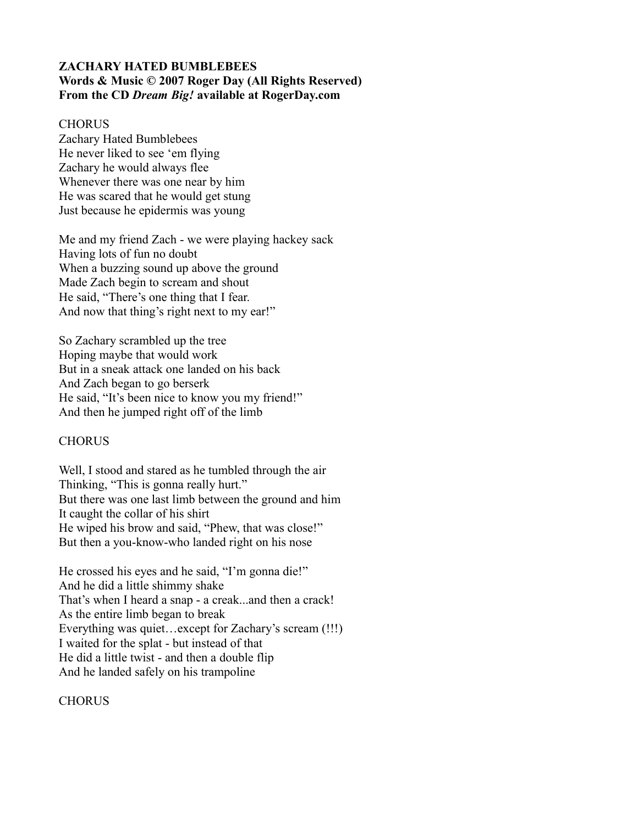# **ZACHARY HATED BUMBLEBEES Words & Music © 2007 Roger Day (All Rights Reserved) From the CD** *Dream Big!* **available at RogerDay.com**

#### **CHORUS**

Zachary Hated Bumblebees He never liked to see 'em flying Zachary he would always flee Whenever there was one near by him He was scared that he would get stung Just because he epidermis was young

Me and my friend Zach - we were playing hackey sack Having lots of fun no doubt When a buzzing sound up above the ground Made Zach begin to scream and shout He said, "There's one thing that I fear. And now that thing's right next to my ear!"

So Zachary scrambled up the tree Hoping maybe that would work But in a sneak attack one landed on his back And Zach began to go berserk He said, "It's been nice to know you my friend!" And then he jumped right off of the limb

#### **CHORUS**

Well, I stood and stared as he tumbled through the air Thinking, "This is gonna really hurt." But there was one last limb between the ground and him It caught the collar of his shirt He wiped his brow and said, "Phew, that was close!" But then a you-know-who landed right on his nose

He crossed his eyes and he said, "I'm gonna die!" And he did a little shimmy shake That's when I heard a snap - a creak...and then a crack! As the entire limb began to break Everything was quiet…except for Zachary's scream (!!!) I waited for the splat - but instead of that He did a little twist - and then a double flip And he landed safely on his trampoline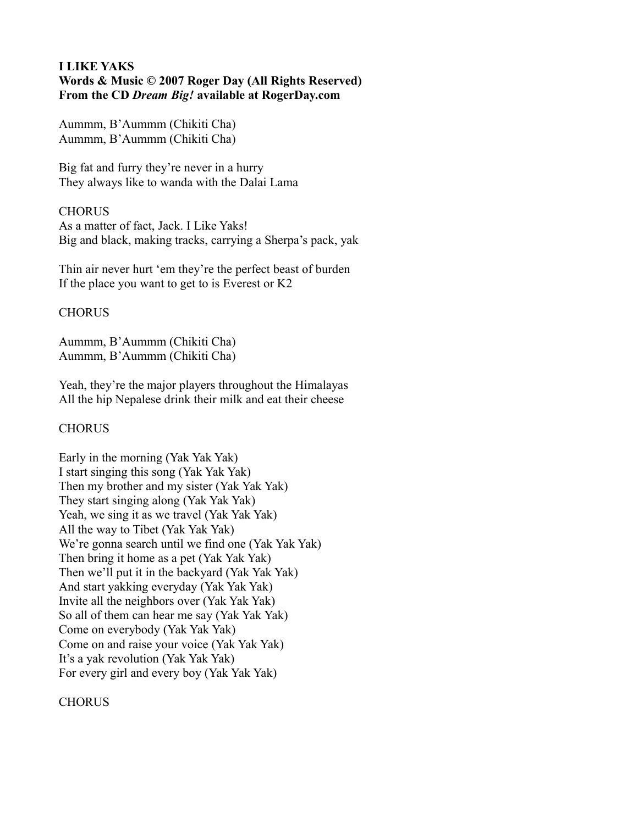#### **I LIKE YAKS Words & Music © 2007 Roger Day (All Rights Reserved) From the CD** *Dream Big!* **available at RogerDay.com**

Aummm, B'Aummm (Chikiti Cha) Aummm, B'Aummm (Chikiti Cha)

Big fat and furry they're never in a hurry They always like to wanda with the Dalai Lama

#### CHORUS

As a matter of fact, Jack. I Like Yaks! Big and black, making tracks, carrying a Sherpa's pack, yak

Thin air never hurt 'em they're the perfect beast of burden If the place you want to get to is Everest or K2

# **CHORUS**

Aummm, B'Aummm (Chikiti Cha) Aummm, B'Aummm (Chikiti Cha)

Yeah, they're the major players throughout the Himalayas All the hip Nepalese drink their milk and eat their cheese

# **CHORUS**

Early in the morning (Yak Yak Yak) I start singing this song (Yak Yak Yak) Then my brother and my sister (Yak Yak Yak) They start singing along (Yak Yak Yak) Yeah, we sing it as we travel (Yak Yak Yak) All the way to Tibet (Yak Yak Yak) We're gonna search until we find one (Yak Yak Yak) Then bring it home as a pet (Yak Yak Yak) Then we'll put it in the backyard (Yak Yak Yak) And start yakking everyday (Yak Yak Yak) Invite all the neighbors over (Yak Yak Yak) So all of them can hear me say (Yak Yak Yak) Come on everybody (Yak Yak Yak) Come on and raise your voice (Yak Yak Yak) It's a yak revolution (Yak Yak Yak) For every girl and every boy (Yak Yak Yak)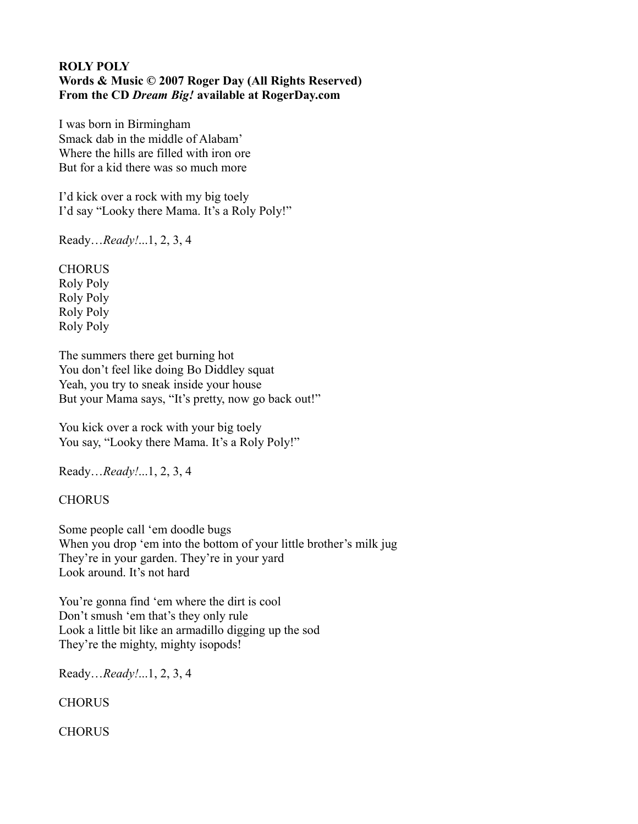## **ROLY POLY Words & Music © 2007 Roger Day (All Rights Reserved) From the CD** *Dream Big!* **available at RogerDay.com**

I was born in Birmingham Smack dab in the middle of Alabam' Where the hills are filled with iron ore But for a kid there was so much more

I'd kick over a rock with my big toely I'd say "Looky there Mama. It's a Roly Poly!"

Ready…*Ready!*...1, 2, 3, 4

**CHORUS** Roly Poly Roly Poly Roly Poly Roly Poly

The summers there get burning hot You don't feel like doing Bo Diddley squat Yeah, you try to sneak inside your house But your Mama says, "It's pretty, now go back out!"

You kick over a rock with your big toely You say, "Looky there Mama. It's a Roly Poly!"

Ready…*Ready!*...1, 2, 3, 4

**CHORUS** 

Some people call 'em doodle bugs When you drop 'em into the bottom of your little brother's milk jug They're in your garden. They're in your yard Look around. It's not hard

You're gonna find 'em where the dirt is cool Don't smush 'em that's they only rule Look a little bit like an armadillo digging up the sod They're the mighty, mighty isopods!

Ready…*Ready!*...1, 2, 3, 4

**CHORUS**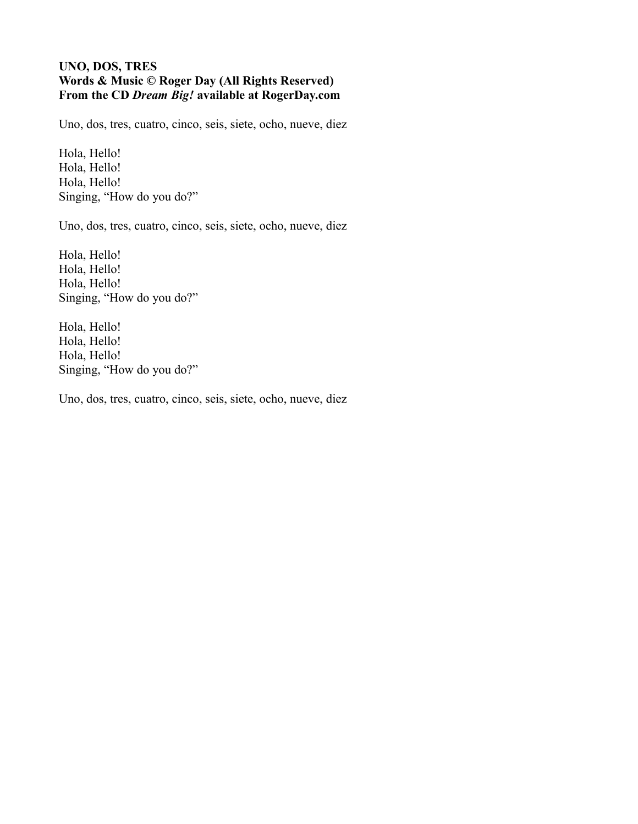#### **UNO, DOS, TRES Words & Music © Roger Day (All Rights Reserved) From the CD** *Dream Big!* **available at RogerDay.com**

Uno, dos, tres, cuatro, cinco, seis, siete, ocho, nueve, diez

Hola, Hello! Hola, Hello! Hola, Hello! Singing, "How do you do?"

Uno, dos, tres, cuatro, cinco, seis, siete, ocho, nueve, diez

Hola, Hello! Hola, Hello! Hola, Hello! Singing, "How do you do?"

Hola, Hello! Hola, Hello! Hola, Hello! Singing, "How do you do?"

Uno, dos, tres, cuatro, cinco, seis, siete, ocho, nueve, diez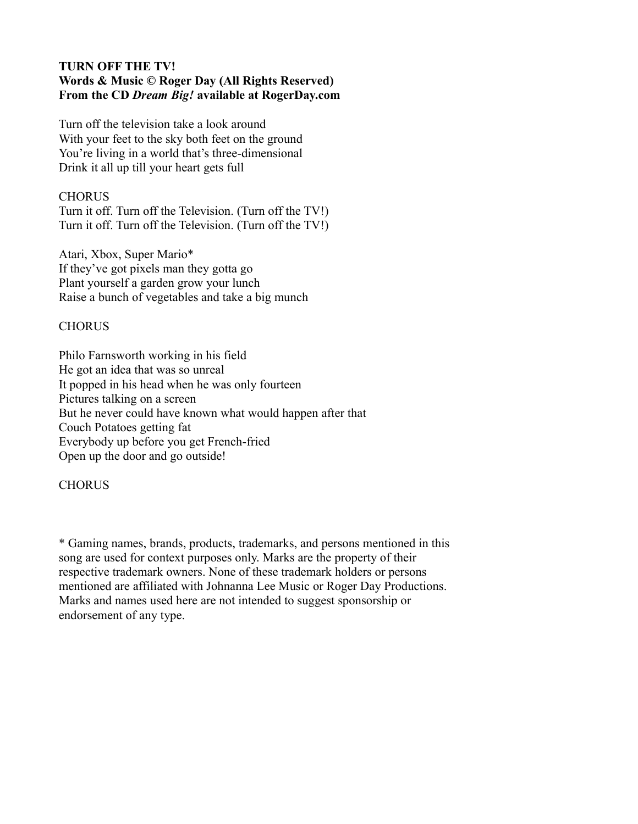## **TURN OFF THE TV! Words & Music © Roger Day (All Rights Reserved) From the CD** *Dream Big!* **available at RogerDay.com**

Turn off the television take a look around With your feet to the sky both feet on the ground You're living in a world that's three-dimensional Drink it all up till your heart gets full

#### **CHORUS**

Turn it off. Turn off the Television. (Turn off the TV!) Turn it off. Turn off the Television. (Turn off the TV!)

Atari, Xbox, Super Mario\* If they've got pixels man they gotta go Plant yourself a garden grow your lunch Raise a bunch of vegetables and take a big munch

# **CHORUS**

Philo Farnsworth working in his field He got an idea that was so unreal It popped in his head when he was only fourteen Pictures talking on a screen But he never could have known what would happen after that Couch Potatoes getting fat Everybody up before you get French-fried Open up the door and go outside!

# **CHORUS**

\* Gaming names, brands, products, trademarks, and persons mentioned in this song are used for context purposes only. Marks are the property of their respective trademark owners. None of these trademark holders or persons mentioned are affiliated with Johnanna Lee Music or Roger Day Productions. Marks and names used here are not intended to suggest sponsorship or endorsement of any type.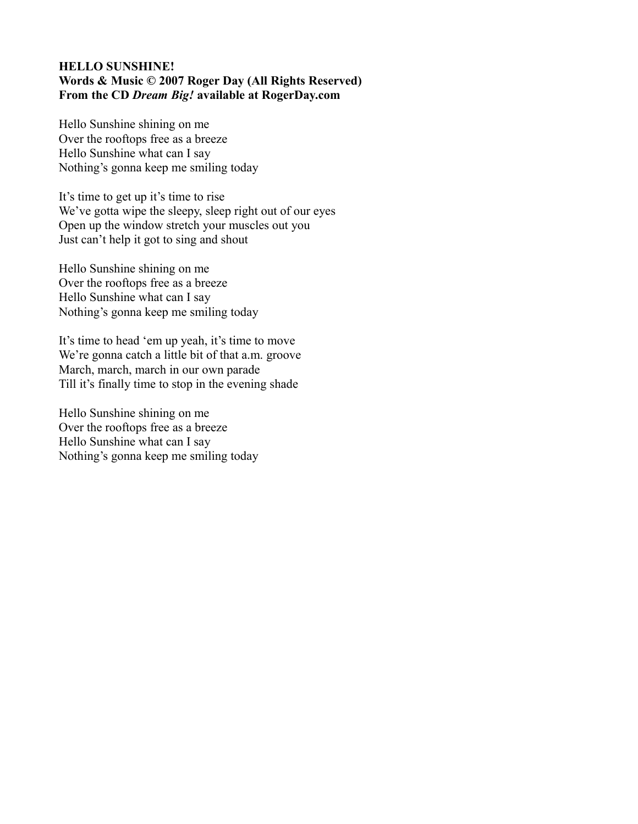#### **HELLO SUNSHINE! Words & Music © 2007 Roger Day (All Rights Reserved) From the CD** *Dream Big!* **available at RogerDay.com**

Hello Sunshine shining on me Over the rooftops free as a breeze Hello Sunshine what can I say Nothing's gonna keep me smiling today

It's time to get up it's time to rise We've gotta wipe the sleepy, sleep right out of our eyes Open up the window stretch your muscles out you Just can't help it got to sing and shout

Hello Sunshine shining on me Over the rooftops free as a breeze Hello Sunshine what can I say Nothing's gonna keep me smiling today

It's time to head 'em up yeah, it's time to move We're gonna catch a little bit of that a.m. groove March, march, march in our own parade Till it's finally time to stop in the evening shade

Hello Sunshine shining on me Over the rooftops free as a breeze Hello Sunshine what can I say Nothing's gonna keep me smiling today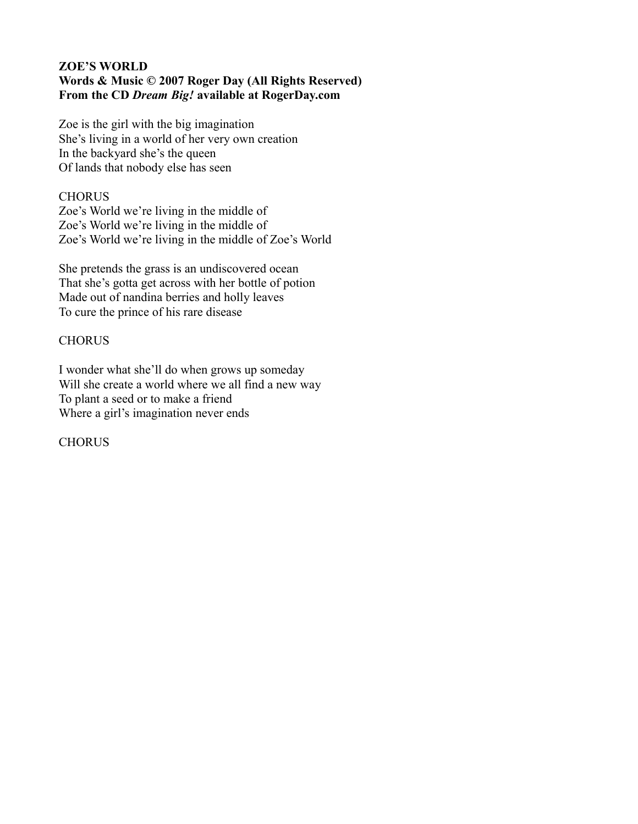# **ZOE'S WORLD Words & Music © 2007 Roger Day (All Rights Reserved) From the CD** *Dream Big!* **available at RogerDay.com**

Zoe is the girl with the big imagination She's living in a world of her very own creation In the backyard she's the queen Of lands that nobody else has seen

## **CHORUS**

Zoe's World we're living in the middle of Zoe's World we're living in the middle of Zoe's World we're living in the middle of Zoe's World

She pretends the grass is an undiscovered ocean That she's gotta get across with her bottle of potion Made out of nandina berries and holly leaves To cure the prince of his rare disease

#### **CHORUS**

I wonder what she'll do when grows up someday Will she create a world where we all find a new way To plant a seed or to make a friend Where a girl's imagination never ends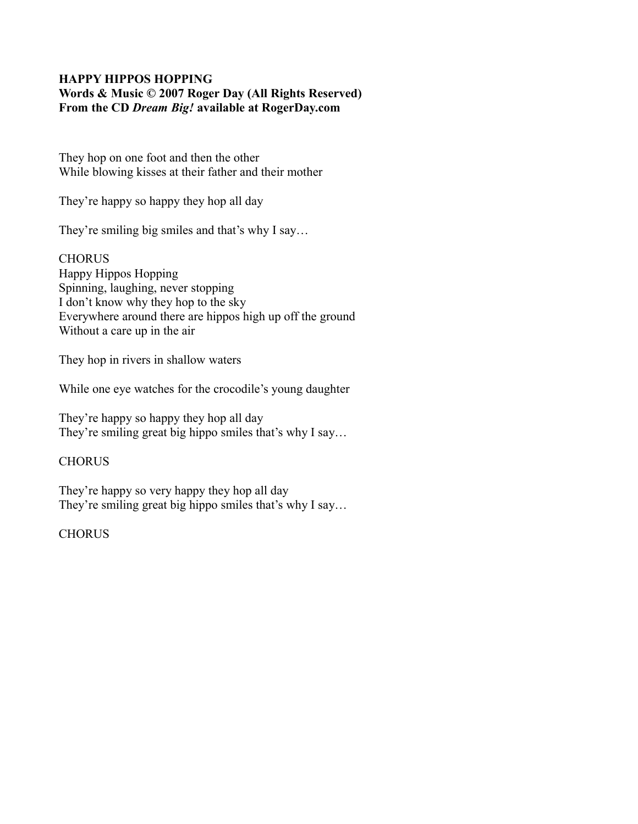# **HAPPY HIPPOS HOPPING Words & Music © 2007 Roger Day (All Rights Reserved) From the CD** *Dream Big!* **available at RogerDay.com**

They hop on one foot and then the other While blowing kisses at their father and their mother

They're happy so happy they hop all day

They're smiling big smiles and that's why I say…

**CHORUS** Happy Hippos Hopping Spinning, laughing, never stopping I don't know why they hop to the sky Everywhere around there are hippos high up off the ground Without a care up in the air

They hop in rivers in shallow waters

While one eye watches for the crocodile's young daughter

They're happy so happy they hop all day They're smiling great big hippo smiles that's why I say...

# **CHORUS**

They're happy so very happy they hop all day They're smiling great big hippo smiles that's why I say...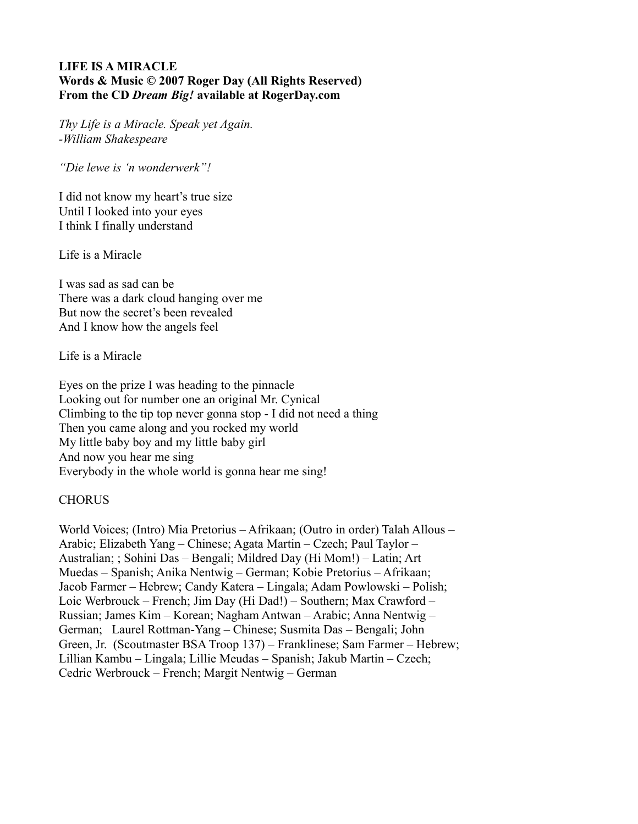## **LIFE IS A MIRACLE Words & Music © 2007 Roger Day (All Rights Reserved) From the CD** *Dream Big!* **available at RogerDay.com**

*Thy Life is a Miracle. Speak yet Again. -William Shakespeare*

*"Die lewe is 'n wonderwerk"!*

I did not know my heart's true size Until I looked into your eyes I think I finally understand

Life is a Miracle

I was sad as sad can be There was a dark cloud hanging over me But now the secret's been revealed And I know how the angels feel

Life is a Miracle

Eyes on the prize I was heading to the pinnacle Looking out for number one an original Mr. Cynical Climbing to the tip top never gonna stop - I did not need a thing Then you came along and you rocked my world My little baby boy and my little baby girl And now you hear me sing Everybody in the whole world is gonna hear me sing!

# **CHORUS**

World Voices; (Intro) Mia Pretorius – Afrikaan; (Outro in order) Talah Allous – Arabic; Elizabeth Yang – Chinese; Agata Martin – Czech; Paul Taylor – Australian; ; Sohini Das – Bengali; Mildred Day (Hi Mom!) – Latin; Art Muedas – Spanish; Anika Nentwig – German; Kobie Pretorius – Afrikaan; Jacob Farmer – Hebrew; Candy Katera – Lingala; Adam Powlowski – Polish; Loic Werbrouck – French; Jim Day (Hi Dad!) – Southern; Max Crawford – Russian; James Kim – Korean; Nagham Antwan – Arabic; Anna Nentwig – German; Laurel Rottman-Yang – Chinese; Susmita Das – Bengali; John Green, Jr. (Scoutmaster BSA Troop 137) – Franklinese; Sam Farmer – Hebrew; Lillian Kambu – Lingala; Lillie Meudas – Spanish; Jakub Martin – Czech; Cedric Werbrouck – French; Margit Nentwig – German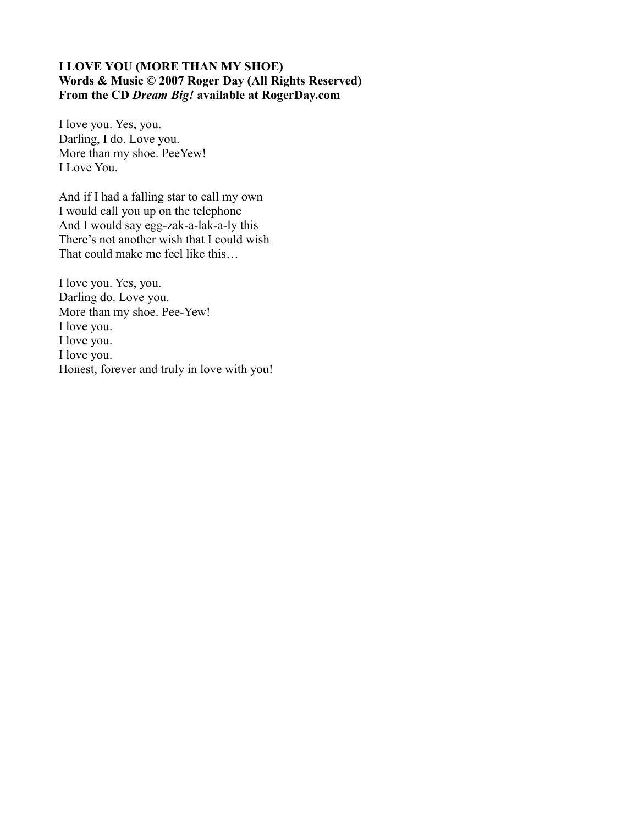### **I LOVE YOU (MORE THAN MY SHOE) Words & Music © 2007 Roger Day (All Rights Reserved) From the CD** *Dream Big!* **available at RogerDay.com**

I love you. Yes, you. Darling, I do. Love you. More than my shoe. PeeYew! I Love You.

And if I had a falling star to call my own I would call you up on the telephone And I would say egg-zak-a-lak-a-ly this There's not another wish that I could wish That could make me feel like this…

I love you. Yes, you. Darling do. Love you. More than my shoe. Pee-Yew! I love you. I love you. I love you. Honest, forever and truly in love with you!